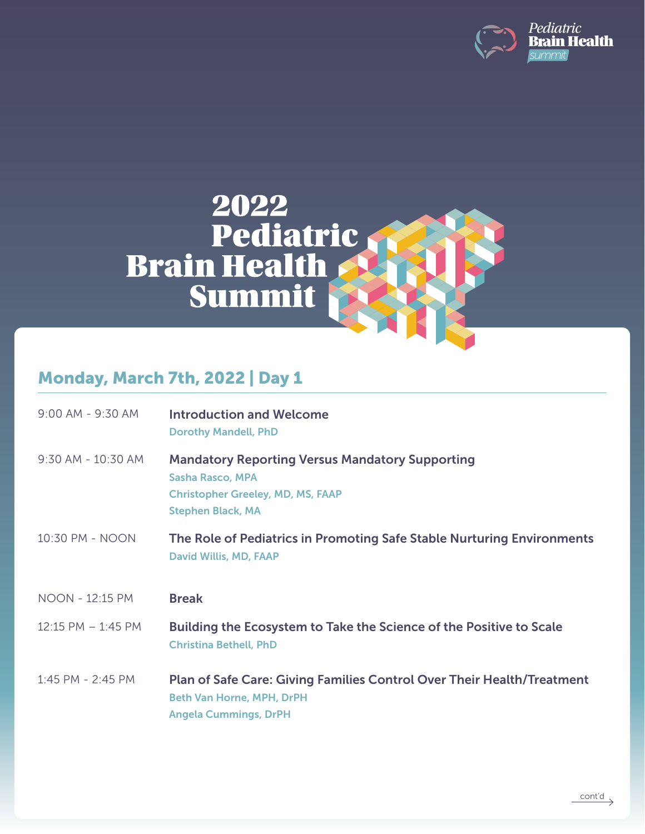



## Monday, March 7th, 2022 | Day 1

| 9:00 AM - 9:30 AM  | <b>Introduction and Welcome</b><br><b>Dorothy Mandell, PhD</b>                                                                                            |
|--------------------|-----------------------------------------------------------------------------------------------------------------------------------------------------------|
| 9:30 AM - 10:30 AM | <b>Mandatory Reporting Versus Mandatory Supporting</b><br><b>Sasha Rasco, MPA</b><br><b>Christopher Greeley, MD, MS, FAAP</b><br><b>Stephen Black, MA</b> |
| 10:30 PM - NOON    | The Role of Pediatrics in Promoting Safe Stable Nurturing Environments<br><b>David Willis, MD, FAAP</b>                                                   |
| NOON - 12:15 PM    | <b>Break</b>                                                                                                                                              |
| 12:15 PM - 1:45 PM | Building the Ecosystem to Take the Science of the Positive to Scale<br><b>Christina Bethell, PhD</b>                                                      |
| 1:45 PM - 2:45 PM  | <b>Plan of Safe Care: Giving Families Control Over Their Health/Treatment</b><br><b>Beth Van Horne, MPH, DrPH</b><br><b>Angela Cummings, DrPH</b>         |